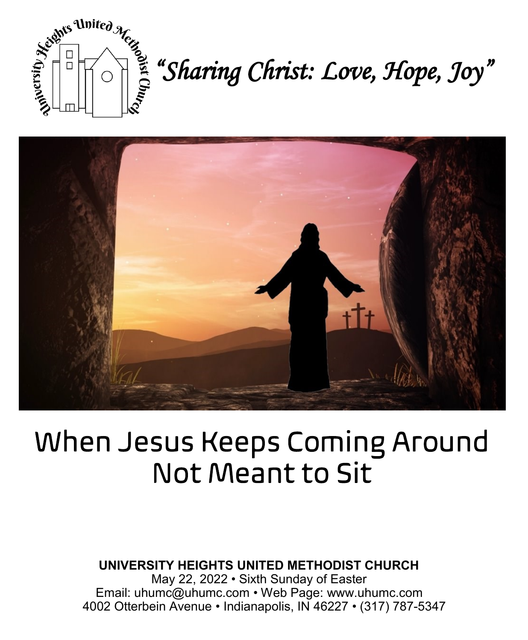

*sights United Merges*<br>  $\begin{bmatrix} 1 & 0 \\ 0 & 0 \end{bmatrix}$   $\begin{bmatrix} 2 & 0 \\ 0 & 0 \end{bmatrix}$   $\begin{bmatrix} 3 & 0 \\ 0 & 0 \end{bmatrix}$   $\begin{bmatrix} 2 & 0 \\ 0 & 0 \end{bmatrix}$   $\begin{bmatrix} 3 & 0 \\ 0 & 0 \end{bmatrix}$   $\begin{bmatrix} 2 & 0 \\ 0 & 0 \end{bmatrix}$   $\begin{bmatrix} 4 & 0 \\ 0 & 0 \end{bmatrix}$   $\begin{bmatrix} 1 & 0 \\ 0 &$ 



# When Jesus Keeps Coming Around **Not Meant to Sit**

**UNIVERSITY HEIGHTS UNITED METHODIST CHURCH**

May 22, 2022 • Sixth Sunday of Easter Email: uhumc@uhumc.com • Web Page: www.uhumc.com 4002 Otterbein Avenue • Indianapolis, IN 46227 • (317) 787-5347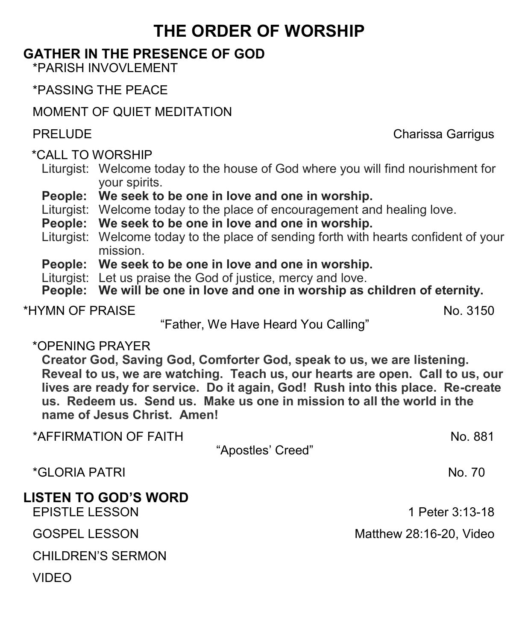## **THE ORDER OF WORSHIP**

#### **GATHER IN THE PRESENCE OF GOD**

\*PARISH INVOVLEMENT

\*PASSING THE PEACE

MOMENT OF QUIET MEDITATION

\*CALL TO WORSHIP

- Liturgist: Welcome today to the house of God where you will find nourishment for your spirits.
- **People: We seek to be one in love and one in worship.**
- Liturgist: Welcome today to the place of encouragement and healing love.
- **People: We seek to be one in love and one in worship.**
- Liturgist: Welcome today to the place of sending forth with hearts confident of your mission.
- **People: We seek to be one in love and one in worship.**
- Liturgist: Let us praise the God of justice, mercy and love.
- **People: We will be one in love and one in worship as children of eternity.**

\*HYMN OF PRAISE No. 3150

"Father, We Have Heard You Calling"

#### \*OPENING PRAYER

**Creator God, Saving God, Comforter God, speak to us, we are listening. Reveal to us, we are watching. Teach us, our hearts are open. Call to us, our lives are ready for service. Do it again, God! Rush into this place. Re-create us. Redeem us. Send us. Make us one in mission to all the world in the name of Jesus Christ. Amen!**

| *AFFIRMATION OF FAITH                                |                   | No. 881                 |
|------------------------------------------------------|-------------------|-------------------------|
|                                                      | "Apostles' Creed" |                         |
| <i>*</i> GLORIA PATRI                                |                   | No. 70                  |
| <b>LISTEN TO GOD'S WORD</b><br><b>EPISTLE LESSON</b> |                   | 1 Peter 3:13-18         |
| <b>GOSPEL LESSON</b>                                 |                   | Matthew 28:16-20, Video |
| <b>CHILDREN'S SERMON</b>                             |                   |                         |
| VIDEO                                                |                   |                         |

PRELUDE **Charissa Garrigus** Charissa Garrigus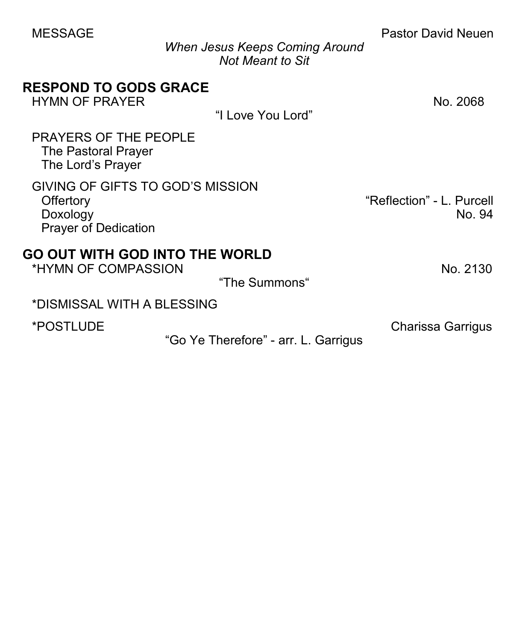| <b>MESSAGE</b>                                                                           | <b>When Jesus Keeps Coming Around</b> | <b>Pastor David Neuen</b>           |
|------------------------------------------------------------------------------------------|---------------------------------------|-------------------------------------|
|                                                                                          | <b>Not Meant to Sit</b>               |                                     |
| <b>RESPOND TO GODS GRACE</b><br><b>HYMN OF PRAYER</b>                                    |                                       | No. 2068                            |
|                                                                                          | "I Love You Lord"                     |                                     |
| <b>PRAYERS OF THE PEOPLE</b><br><b>The Pastoral Prayer</b><br>The Lord's Prayer          |                                       |                                     |
| GIVING OF GIFTS TO GOD'S MISSION<br>Offertory<br>Doxology<br><b>Prayer of Dedication</b> |                                       | "Reflection" - L. Purcell<br>No. 94 |
| <b>GO OUT WITH GOD INTO THE WORLD</b><br>*HYMN OF COMPASSION                             | "The Summons"                         | No. 2130                            |
| *DISMISSAL WITH A BLESSING                                                               |                                       |                                     |
| *POSTLUDE                                                                                |                                       | <b>Charissa Garrigus</b>            |
|                                                                                          | "Go Ye Therefore" - arr. L. Garrigus  |                                     |